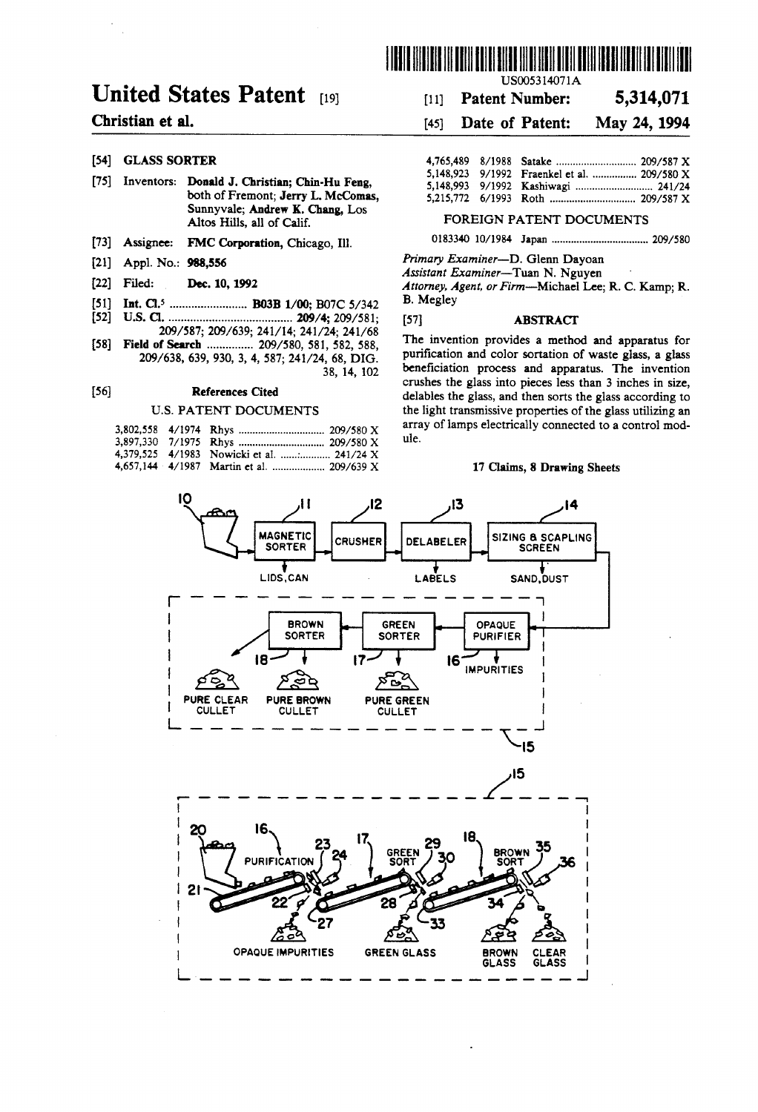

## **United States Patent [19]**

## Christian et al.

## [54] GLASS SORTER

- [75] Inventors: Donald J. Christian; Chin-Hu Feng, both of Fremont; Jerry L. McComas, Sunnyvale; Andrew K. Chang, Los Altos Hills, all of Calif.
- [73] Assignee: FMC Corporation, Chicago, Ill.
- [21] Appl. No.: 988,556
- [22] Filed: Dec. 10, 1992
- $[51]$
- $[52]$
- 209/587; 209/639; 241/14; 241/24; 241/68 [58] Field of Search ............... 209/580, 581, 582, 588, 209/638, 639, 930, 3, 4, 587; 241/24, 68, DIG. 38, 14, 102

#### $[56]$ **References Cited**

### **U.S. PATENT DOCUMENTS**

|  | 4,379,525 4/1983 Nowicki et al.  241/24 X |
|--|-------------------------------------------|
|  |                                           |

US005314071A

#### 5,314,071  $[11]$ **Patent Number:**

#### $[45]$ Date of Patent: May 24, 1994

|  | 5.148.923 9/1992 Fraenkel et al.  209/580 X |  |
|--|---------------------------------------------|--|
|  |                                             |  |
|  |                                             |  |

## FOREIGN PATENT DOCUMENTS

Primary Examiner-D. Glenn Dayoan

Assistant Examiner-Tuan N. Nguyen Attorney, Agent, or Firm-Michael Lee; R. C. Kamp; R. **B.** Megley

### **ABSTRACT**

 $[57]$ 

The invention provides a method and apparatus for purification and color sortation of waste glass, a glass beneficiation process and apparatus. The invention crushes the glass into pieces less than 3 inches in size, delables the glass, and then sorts the glass according to the light transmissive properties of the glass utilizing an array of lamps electrically connected to a control module.

#### 17 Claims, 8 Drawing Sheets

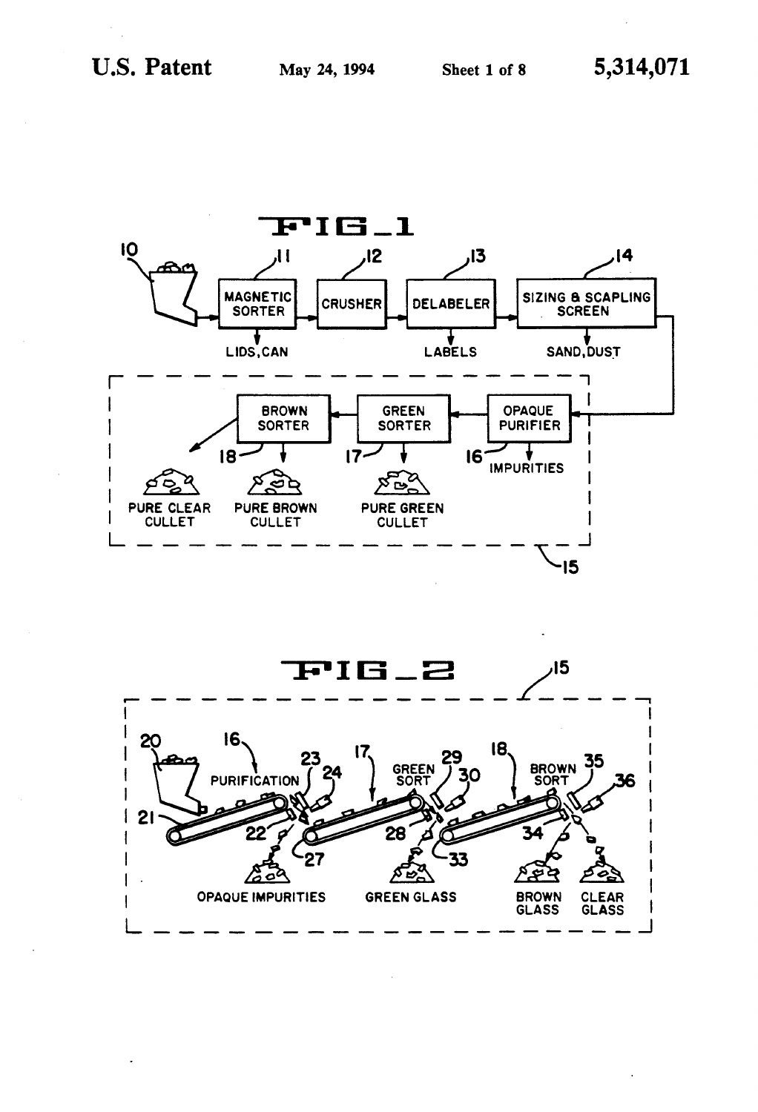

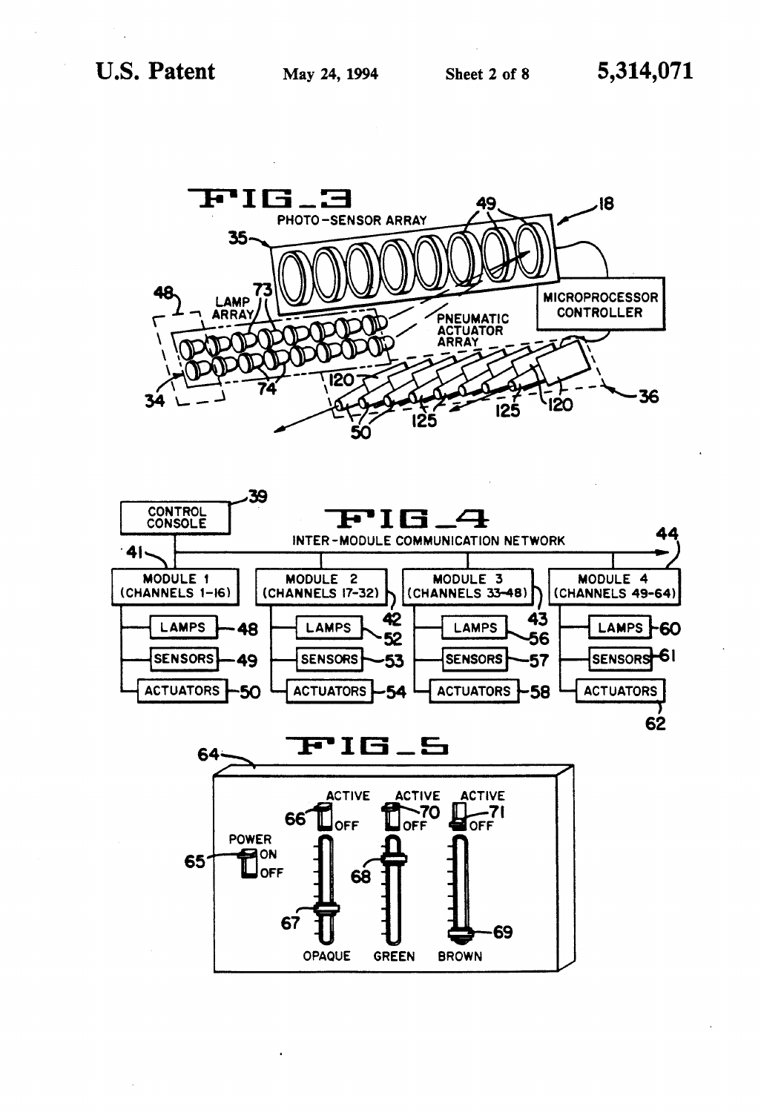

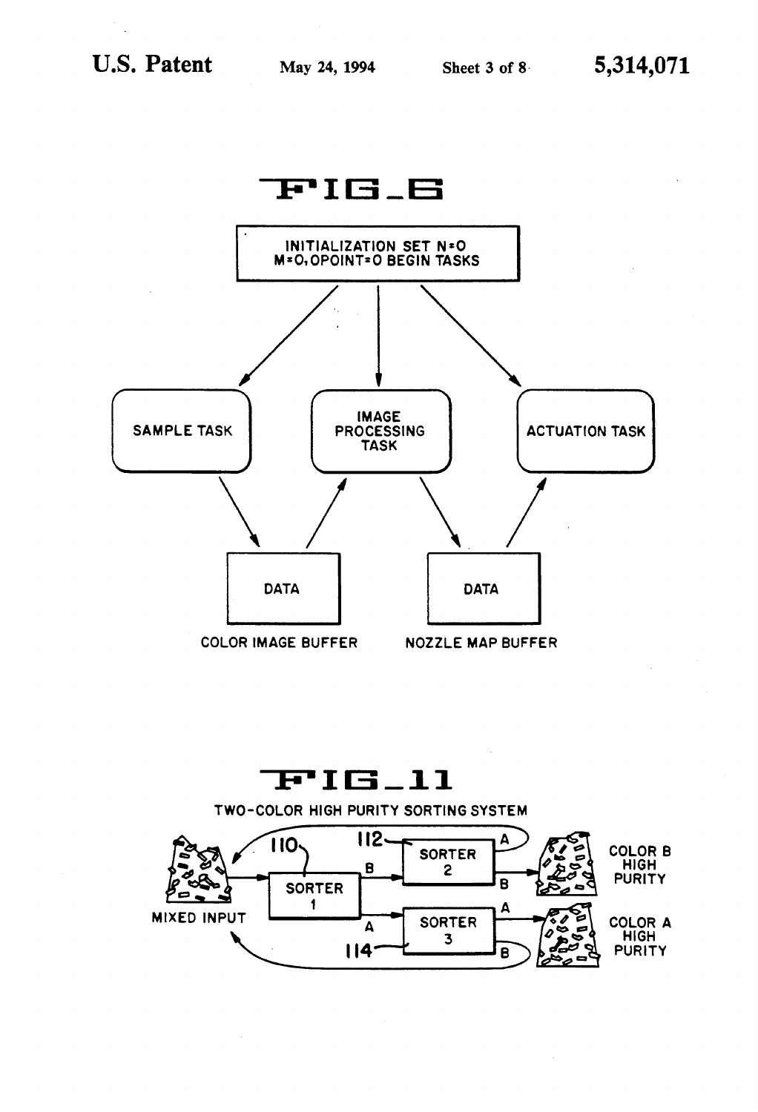

# $FIB_l1$

 $112.$ A **110-COLOR B SORTER** HIGH<br>PURITY  $\mathbf{B}$  $\mathbf{2}$ B **SORTER**  $\mathbf{1}$ Δ **MIXED INPUT SORTER COLOR A**  $\Delta$ **HIGH** 3  $114$ **PURITY** B

TWO-COLOR HIGH PURITY SORTING SYSTEM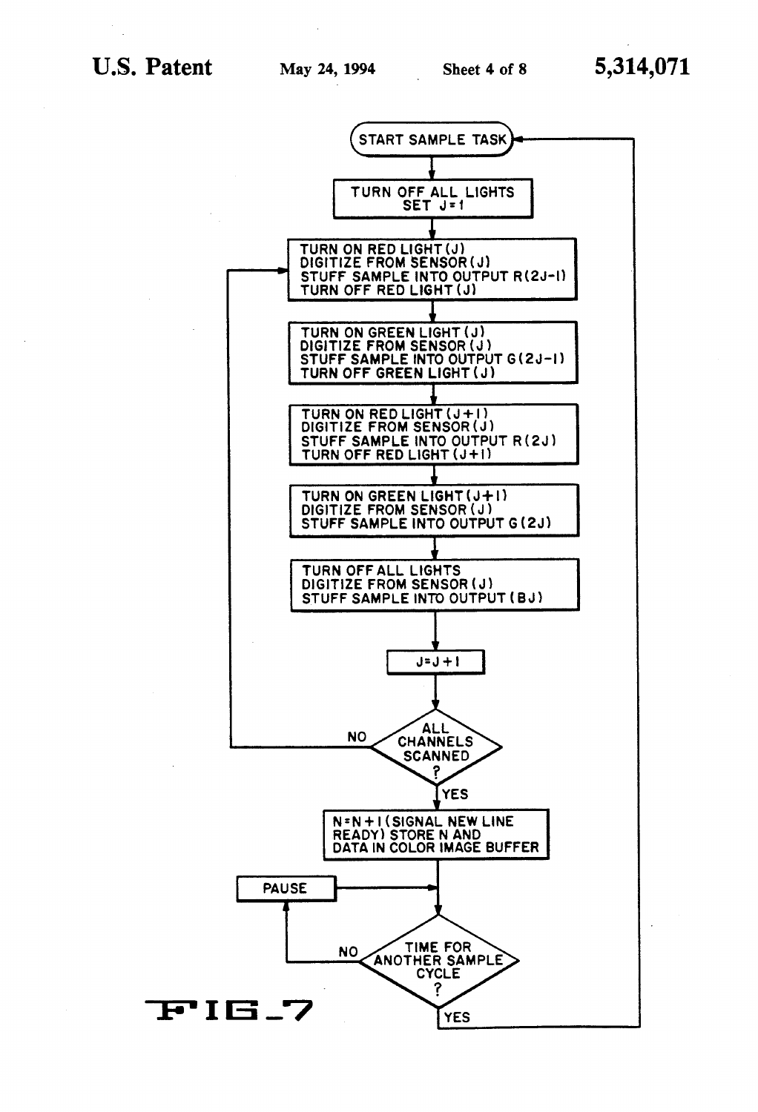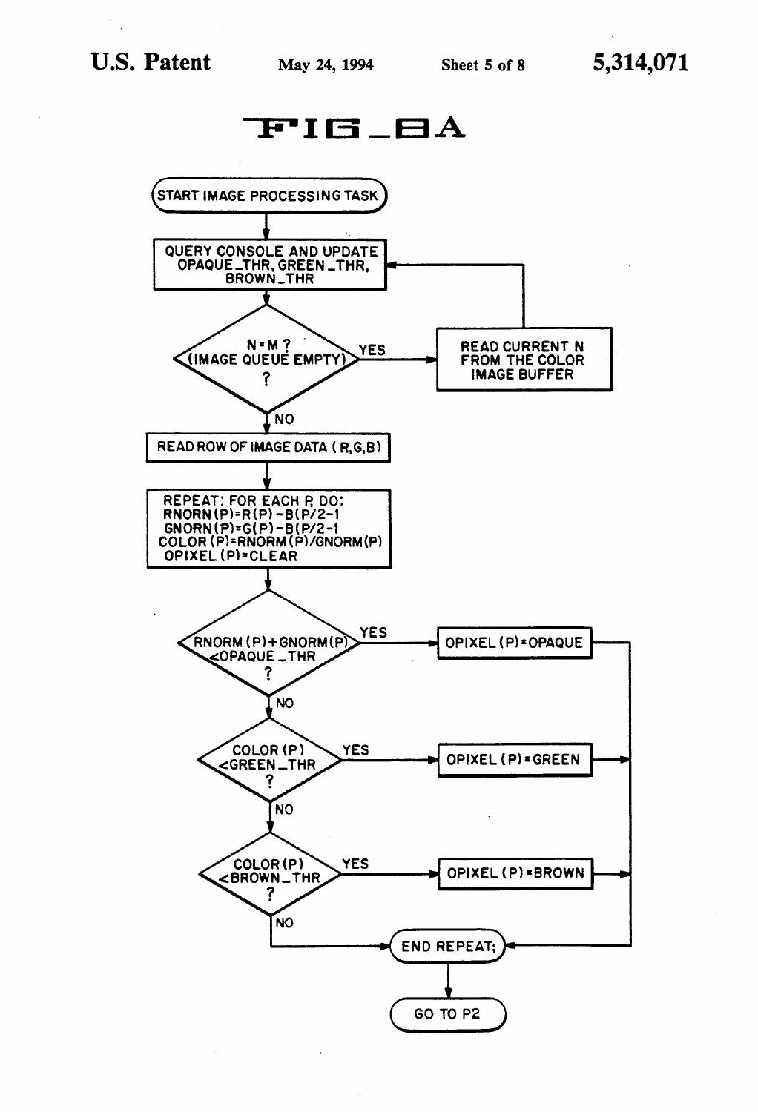

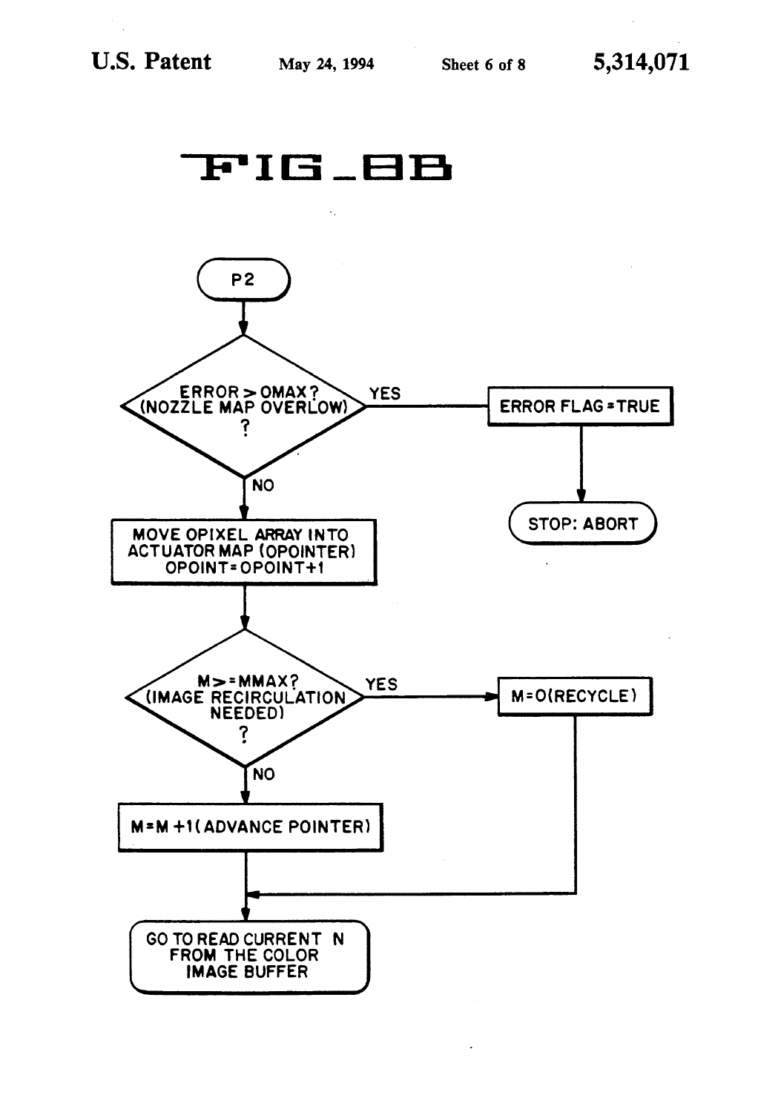

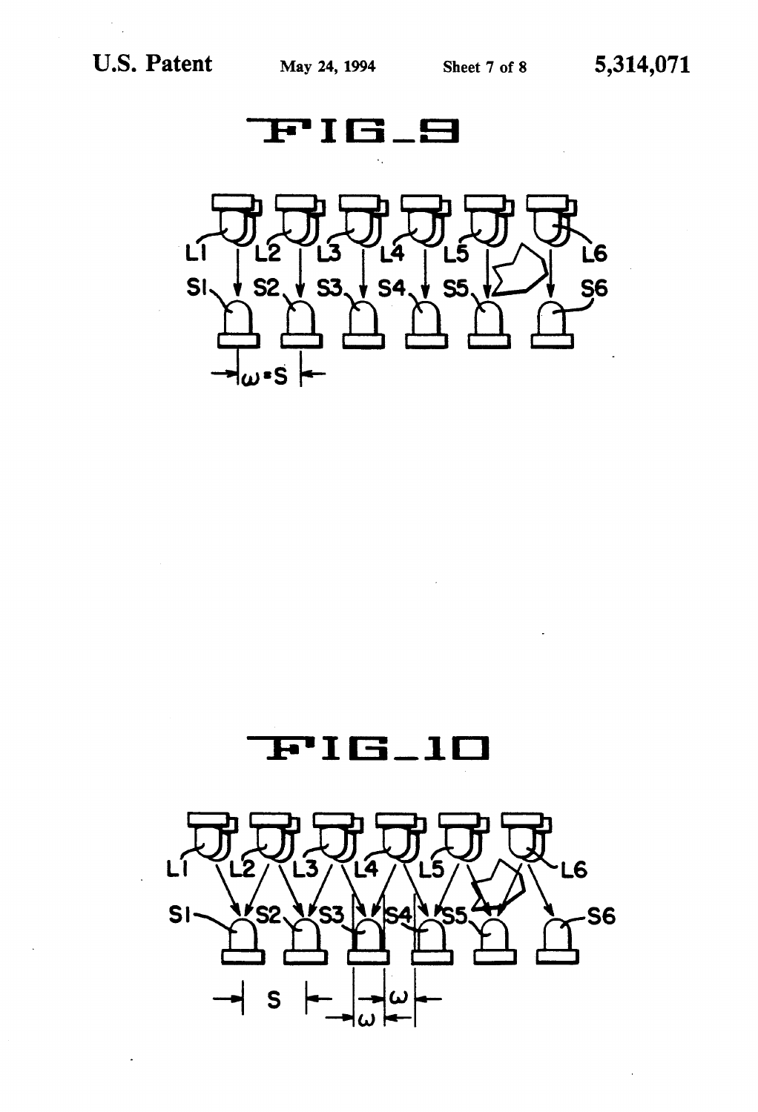





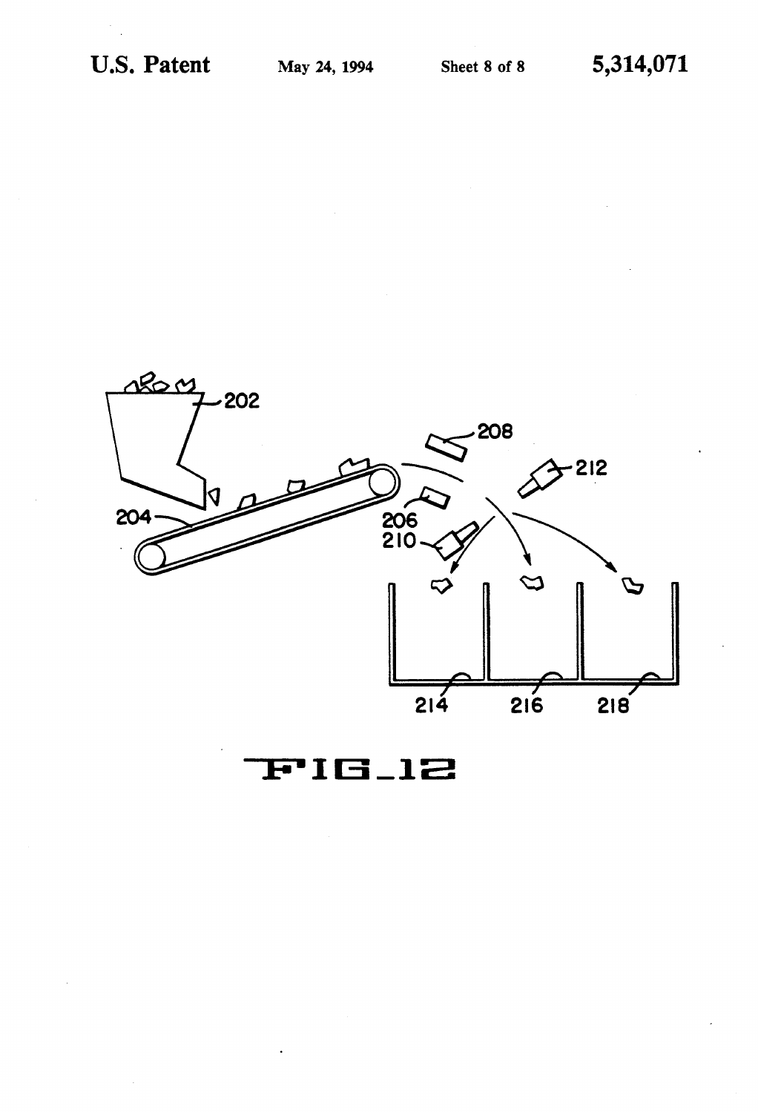

**FIG\_12**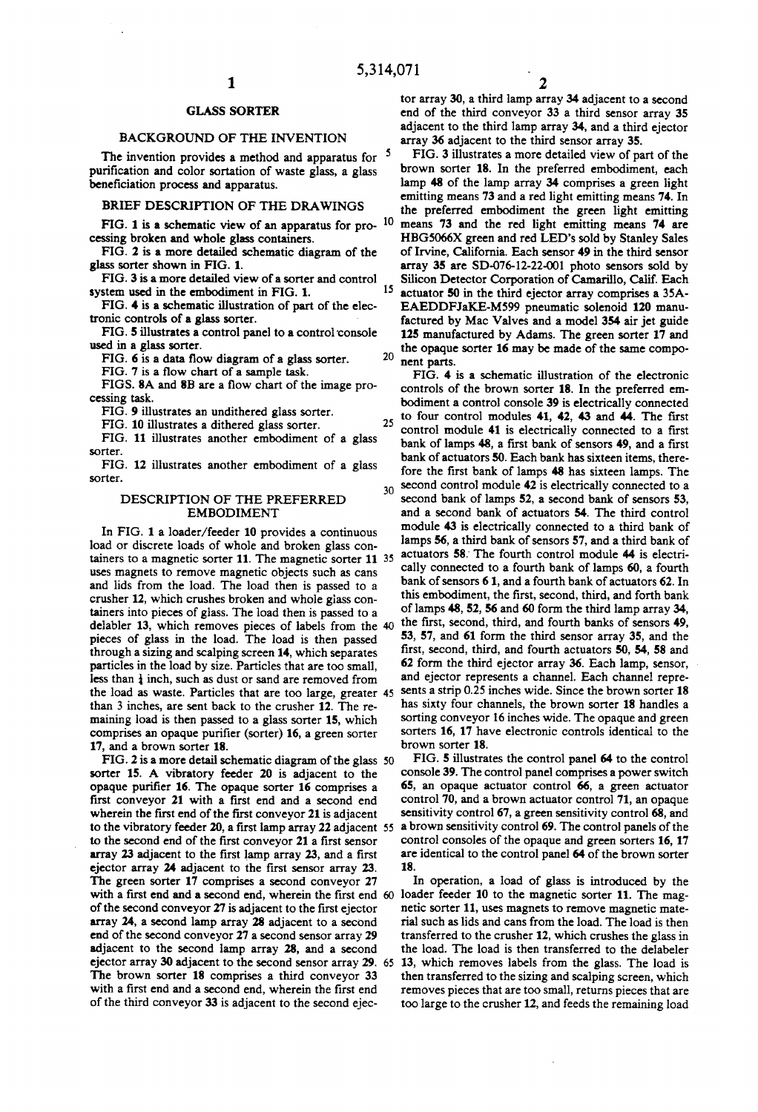### GLASS SORTER

#### BACKGROUND OF THE INVENTION

The invention provides a method and apparatus for <sup>5</sup> purification and color sortation of waste glass, a glass beneficiation process and apparatus.

BRIEF DESCRIPTION OF THE DRAWINGS

FIG. 1 is a schematic view of an apparatus for pro-  $10$ cessing broken and whole glass containers.

FIG. 2 is a more detailed schematic diagram of the glass sorter shown in FIG. 1.

FIG. 3 is a more detailed view of a sorter and control system used in the embodiment in FIG. 1. 15

FIG. 4 is a schematic illustration of part of the elec tronic controls of a glass sorter.

FIG. 5 illustrates a control panel to a control 'console used in a glass sorter.

FIG. 6 is a data flow diagram of a glass sorter.

FIG. 7 is a flow chart of a sample task.

FIGS. 8A and 8B are a flow chart of the image pro cessing task.

FIG. 9 illustrates an undithered glass sorter.

FIG. 10 illustrates a dithered glass sorter.

FIG. 11 illustrates another embodiment of a glass sorter.

FIG. 12 illustrates another embodiment of a glass sorter.

### DESCRIPTION OF THE PREFERRED EMBODIMENT

In FIG. 1 a loader/feeder 10 provides a continuous load or discrete loads of whole and broken glass con tainers to a magnetic sorter 11. The magnetic sorter 11 35 uses magnets to remove magnetic objects such as cans and lids from the load. The load then is passed to a crusher 12, which crushes broken and whole glass con tainers into pieces of glass. The load then is passed to a delabler 13, which removes pieces of labels from the 40 pieces of glass in the load. The load is then passed through a sizing and scalping screen 14, which separates particles in the load by size. Particles that are too small, less than  $\frac{1}{4}$  inch, such as dust or sand are removed from the load as waste. Particles that are too large, greater 45 than 3 inches, are sent back to the crusher 12. The re maining load is then passed to a glass sorter 15, which comprises an opaque purifier (sorter) 16, a green sorter 17, and a brown sorter 18.

FIG. 2 is a more detail schematic diagram of the glass 50 sorter 15. A vibratory feeder 20 is adjacent to the opaque purifier 16. The opaque sorter 16 comprises a first conveyor 21 with a first end and a second end wherein the first end of the first conveyor 21 is adjacent to the vibratory feeder 20, a first lamp array 22 adjacent  $55$ to the second end of the first conveyor 21 a first sensor array 23 adjacent to the first lamp array 23, and a first ejector array 24 adjacent to the first sensor array 23. The green sorter 17 comprises a second conveyor 27 of the second conveyor 27 is adjacent to the first ejector array 24, a second lamp array 28 adjacent to a second end of the second conveyor 27 a second sensor array 29 adjacent to the second lamp array 28, and a second ejector array 30 adjacent to the second sensor array 29. 65 The brown sorter 18 comprises a third conveyor 33 with a first end and a second end, wherein the first end of the third conveyor 33 is adjacent to the second ejec

tor array 30, a third lamp array 34 adjacent to a second end of the third conveyor 33 a third sensor array 35 adjacent to the third lamp array 34, and a third ejector array 36 adjacent to the third sensor array 35.

FIG. 3 illustrates a more detailed view of part of the brown sorter 18. In the preferred embodiment, each lamp 48 of the lamp array 34 comprises a green light emitting means 73 and a red light emitting means 74. In the preferred embodiment the green light emitting means 73 and the red light emitting means 74 are HBG5066X green and red LED's sold by Stanley Sales of Irvine, California. Each sensor 49 in the third sensor array 35 are SD-076-12-22-O0l photo sensors sold by Silicon Detector Corporation of Camarillo, Calif. Each actuator 50 in the third ejector array comprises a 35A EAEDDFJaKE-M599 pneumatic solenoid 120 manu factured by Mac Valves and a model 354 air jet guide 125 manufactured by Adams. The green sorter 17 and the opaque sorter 16 may be made of the same compo 20 nent parts.

FIG. 4 is a schematic illustration of the electronic controls of the brown sorter 18. In the preferred em bodiment a control console 39 is electrically connected to four control modules  $41$ ,  $42$ ,  $43$  and  $44$ . The first control module 41 is electrically connected to a first bank of lamps 48, a first bank of sensors 49, and a first bank of actuators 50. Each bank has sixteen items, there fore the first bank of lamps 48 has sixteen lamps. The second control module 42 is electrically connected to a 30 second bank of lamps 52, a second bank of sensors 53, and a second bank of actuators 54. The third control module 43 is electrically connected to a third bank of lamps 56, a third bank of sensors 57, and a third bank of actuators 58; The fourth control module 44 is electri cally connected to a fourth bank of lamps 60, a fourth bank of sensors 6 1, and a fourth bank of actuators 62. In this embodiment, the first, second, third, and forth bank of lamps 48, 52, 56 and 60 form the third lamp array 34, the first, second, third, and fourth banks of sensors 49, 53, 57, and 61 form the third sensor array 35, and the first, second, third, and fourth actuators 50, 54, 58 and 62 form the third ejector array 36. Each lamp, sensor, ' and ejector represents a channel. Each channel repre sents a strip 0.25 inches wide. Since the brown sorter 18 has sixty four channels, the brown sorter 18 handles a sorting conveyor 16 inches wide. The opaque and green sorters 16, 17 have electronic controls identical to the brown sorter 18.

FIG. 5 illustrates the control panel 64 to the control console 39. The control panel comprises a power switch 65, an opaque actuator control 66, a green actuator control 70, and a brown actuator control 71, an opaque sensitivity control 67, a green sensitivity control 68, and a brown sensitivity control 69. The control panels of the control consoles of the opaque and green sorters 16, 17 are identical to the control panel 64 of the brown sorter 18.

with a first end and a second end, wherein the first end 60 loader feeder 10 to the magnetic sorter 11. The mag-In operation, a load of glass is introduced by the netic sorter 11, uses magnets to remove magnetic mate rial such as lids and cans from the load. The load is then transferred to the crusher 12, which crushes the glass in the load. The load is then transferred to the delabeler 13, which removes labels from the glass. The load is then transferred to the sizing and scalping screen, which removes pieces that are too small, returns pieces that are too large to the crusher 12, and feeds the remaining load

25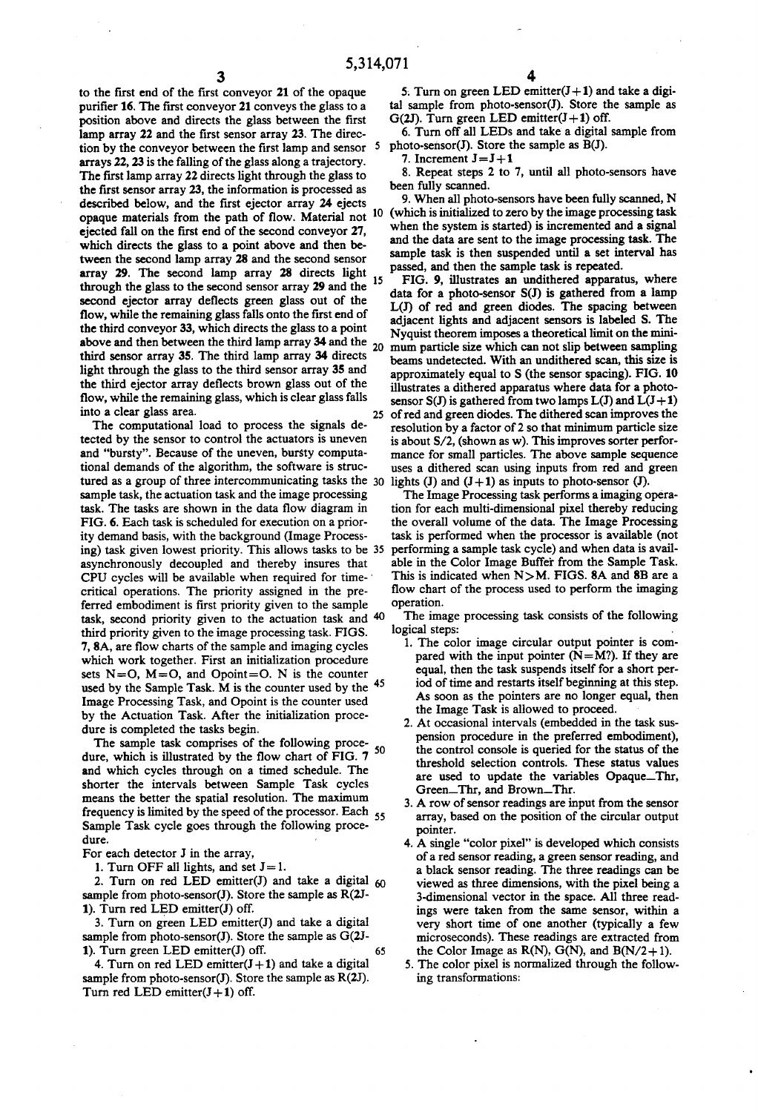25

to the first end of the first conveyor 21 of the opaque purifier 16. The first conveyor 21 conveys the glass to a position above and directs the glass between the first lamp array 22 and the first sensor array 23. The direction by the conveyor between the first lamp and sensor  $5$ arrays 22, 23 is the falling of the glass along a trajectory. The first lamp array 22 directs light through the glass to the first sensor array 23, the information is processed as described below, and the first ejector array 24 ejects opaque materials from the path of flow. Material not ejected fall on the first end of the second conveyor 27, which directs the glass to a point above and then be tween the second lamp array 28 and the second sensor array 29. The second lamp array 28 directs light 15 through the glass to the second sensor array 29 and the second ejector array deflects green glass out of the flow, while the remaining glass falls onto the first end of the third conveyor 33, which directs the glass to a point above and then between the third lamp array 34 and the third sensor array 35. The third lamp array 34 directs light through the glass to the third sensor array 35 and the third ejector array deflects brown glass out of the flow, while the remaining glass, which is clear glass falls into a clear glass area. 20

The computational load to process the signals de tected by the sensor to control the actuators is uneven and "bursty". Because of the uneven, bursty computa tional demands of the algorithm, the software is struc tured as a group of three intercommunicating tasks the 30 sample task, the actuation task and the image processing task. The tasks are shown in the data flow diagram in FIG. 6. Each task is scheduled for execution on a prior ity demand basis, with the background (Image Process ing) task given lowest priority. This allows tasks to be asynchronously decoupled and thereby insures that CPU cycles will be available when required for time- ' critical operations. The priority assigned in the pre ferred embodiment is first priority given to the sample task, second priority given to the actuation task and 40 third priority given to the image processing task. FIGS. 7, 8A, are flow charts of the sample and imaging cycles which work together. First an initialization procedure sets  $N=O$ ,  $M=O$ , and  $Opoint=O$ . N is the counter used by the Sample Task.  $\dot{M}$  is the counter used by the  $45$ Image Processing Task, and Opoint is the counter used by the Actuation Task. After the initialization proce dure is completed the tasks begin.

The sample task comprises of the following proce dure, which is illustrated by the flow chart of FIG. 7 50 and which cycles through on a timed schedule. The shorter the intervals between Sample Task cycles means the better the spatial resolution. The maximum frequency is limited by the speed of the processor. Each 55 Sample Task cycle goes through the following procedure.

For each detector J in the array,

1. Turn OFF all lights, and set  $J=1$ .

2. Turn on red LED emitter(J) and take a digital  $60$ sample from photo-sensor(J). Store the sample as  $R(2J-$ 1). Turn red LED emitter(J) off.

3. Turn on green LED emitter(J) and take a digital sample from photo-sensor(J). Store the sample as G(2J-1). Turn green LED emitter(J) off. 65

4. Turn on red LED emitter $(J+1)$  and take a digital sample from photo-sensor(J). Store the sample as  $R(2J)$ . Turn red LED emitter $(J+1)$  off.

5. Turn on green LED emitter $(J+1)$  and take a digital sample from photo-sensor(J). Store the sample as G(2J). Turn green LED emitter $(J+1)$  off.

6. Turn off all LEDs and take a digital sample from photo-sensor(J). Store the sample as  $\tilde{B}(J)$ .

7. Increment  $J = J + 1$ 

8. Repeat steps 2 to 7, until all photo-sensors have been fully scanned.

10 (which is initialized to zero by the image processing task 9. When all photo-sensors have been fully scanned, N when the system is started) is incremented and a signal and the data are sent to the image processing task. The sample task is then suspended until a set interval has passed, and then the sample task is repeated.

FIG. 9, illustrates an undithered apparatus, where data for a photo-sensor S(J) is gathered from a lamp L(I) of red and green diodes. The spacing between adjacent lights and adjacent sensors is labeled S. The Nyquist theorem imposes a theoretical limit on the mini mum particle size which can not slip between sampling beams undetected. With an undithered scan, this size is approximately equal to S (the sensor spacing). FIG. 10 illustrates a dithered apparatus where data for a photo sensor S(J) is gathered from two lamps  $L(J)$  and  $L(J+1)$ of red and green diodes. The dithered scan improves the resolution by a factor of 2 so that minimum particle size is about  $S/2$ , (shown as w). This improves sorter performance for small particles. The above sample sequence uses a dithered scan using inputs from red and green lights (J) and  $(J+1)$  as inputs to photo-sensor (J).

The Image Processing task performs a imaging opera tion for each multi-dimensional pixel thereby reducing the overall volume of the data. The Image Processing task is performed when the processor is available (not performing a sample task cycle) and when data is avail able in the Color Image Buffer from the Sample Task. This is indicated when N>M. FIGS. 8A and 8B are a flow chart of the process used to perform the imaging operation.

The image processing task consists of the following logical steps:

- l. The color image circular output pointer is com pared with the input pointer  $(N=M$ ?). If they are equal, then the task suspends itself for a short per iod of time and restarts itself beginning at this step. As soon as the pointers are no longer equal, then the Image Task is allowed to proceed.
- 2. At occasional intervals (embedded in the task sus pension procedure in the preferred embodiment), the control console is queried for the status of the threshold selection controls. These status values are used to update the variables Opaque\_Thr, Green\_Thr, and Brown\_Thr.
- 3. A row of sensor readings are input from the sensor array, based on the position of the circular output pointer.
- 4. A single "color pixel" is developed which consists of a red sensor reading, a green sensor reading, and a black sensor reading. The three readings can be viewed as three dimensions, with the pixel being a 3-dimensional vector in the space. All three readings were taken from the same sensor, within a very short time of one another (typically a few microseconds). These readings are extracted from the Color Image as  $R(N)$ ,  $G(N)$ , and  $B(N/2+1)$ .
- 5. The color pixel is normalized through the follow ing transformations: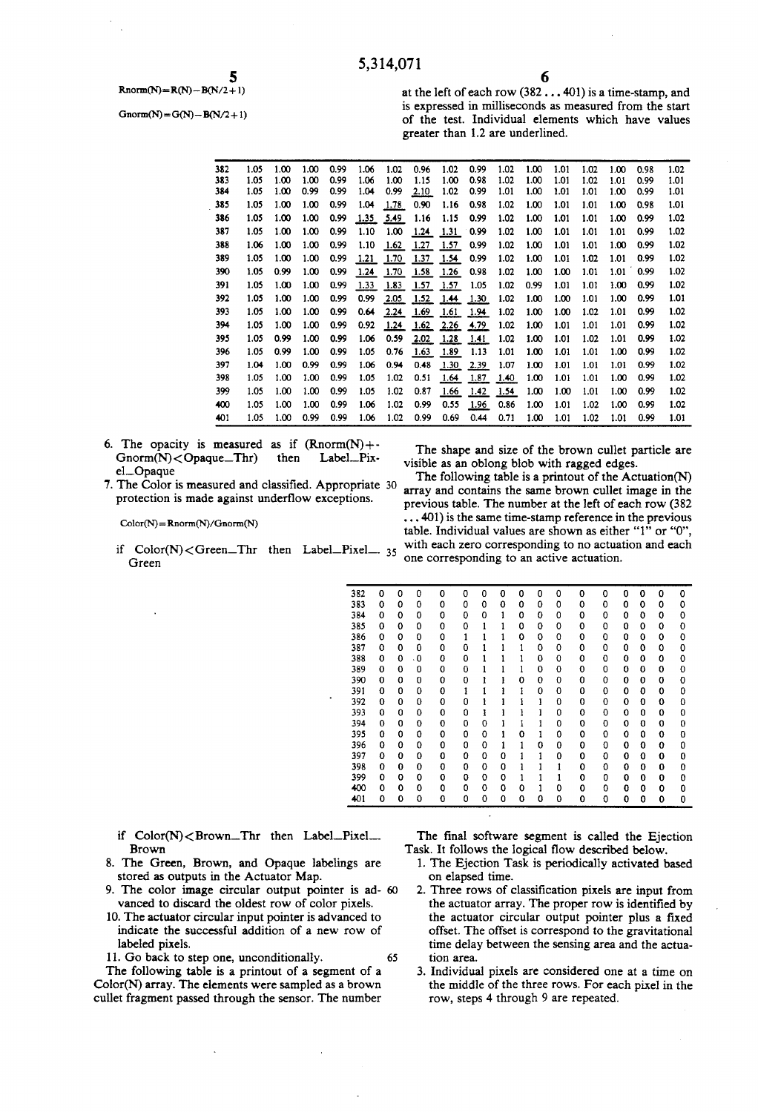5  $Rnorm(N)=R(N)-B(N/2+1)$ 

 $Gnorm(N) = G(N) - B(N/2 + 1)$ 

at the left of each row (382 . . . 401) is a time-stamp, and is expressed in milliseconds as measured from the start of the test. Individual elements which have values greater than 1.2 are underlined.

| 382 | 1.05 | 1.00 | 1.00 | 0.99 | 1.06 | 1.02 | 0.96 | 1.02 | 0.99 | 1.02 | 1.00 | 1.01 | 1.02 | 1.00 | 0.98 | 1.02 |
|-----|------|------|------|------|------|------|------|------|------|------|------|------|------|------|------|------|
| 383 | 1.05 | 1.00 | 1.00 | 0.99 | 1.06 | 1.00 | 1.15 | 1.00 | 0.98 | 1.02 | 1.00 | 1.01 | 1.02 | 1.01 | 0.99 | 1.01 |
| 384 | 1.05 | 1.00 | 0.99 | 0.99 | 1.04 | 0.99 | 2.10 | 1.02 | 0.99 | 1.01 | 1.00 | 1.01 | 1.01 | 1.00 | 0.99 | 1.01 |
| 385 | 1.05 | 1.00 | 1.00 | 0.99 | 1.04 | 1.78 | 0.90 | 1.16 | 0.98 | 1.02 | 1.00 | 1.01 | 1.01 | 1.00 | 0.98 | 1.01 |
| 386 | 1.05 | 1.00 | 1.00 | 0.99 | 1.35 | 5.49 | 1.16 | 1.15 | 0.99 | 1.02 | 1.00 | 1.01 | 1.01 | 1.00 | 0.99 | 1.02 |
| 387 | 1.05 | 1.00 | 1.00 | 0.99 | 1.10 | 1.00 | 1.24 | 1.31 | 0.99 | 1.02 | 1.00 | 1.01 | 1.01 | 1.01 | 0.99 | 1.02 |
| 388 | 1.06 | 1.00 | 1.00 | 0.99 | 1.10 | 1.62 | 1.27 | 1.57 | 0.99 | 1.02 | 1.00 | 1.01 | 1.01 | 1.00 | 0.99 | 1.02 |
| 389 | 1.05 | 1.00 | 1.00 | 0.99 | 1.21 | 1.70 | 1.37 | 1.54 | 0.99 | 1.02 | 1.00 | 1.01 | 1.02 | 1.01 | 0.99 | 1.02 |
| 390 | 1.05 | 0.99 | 1.00 | 0.99 | 1.24 | 1.70 | 1.58 | 1.26 | 0.98 | 1.02 | 1.00 | 1.00 | 1.01 | 1.01 | 0.99 | 1.02 |
| 391 | 1.05 | 1.00 | 1.00 | 0.99 | 1.33 | 1.83 | 1.57 | 1.57 | 1.05 | 1.02 | 0.99 | 1.01 | 1.01 | 1.00 | 0.99 | 1.02 |
| 392 | 1.05 | 1.00 | 1.00 | 0.99 | 0.99 | 2.05 | 1.52 | 1.44 | 1.30 | 1.02 | 1.00 | 1.00 | 1.01 | 1.00 | 0.99 | 1.01 |
| 393 | 1.05 | 1.00 | 1.00 | 0.99 | 0.64 | 2.24 | 1.69 | 1.61 | 1.94 | 1.02 | 1.00 | 1.00 | 1.02 | 1.01 | 0.99 | 1.02 |
| 394 | 1.05 | 1.00 | 1.00 | 0.99 | 0.92 | 1.24 | 1.62 | 2.26 | 4.79 | 1.02 | 1.00 | 1.01 | 1.01 | 1.01 | 0.99 | 1.02 |
| 395 | 1.05 | 0.99 | 1.00 | 0.99 | 1.06 | 0.59 | 2.02 | 1.28 | 1.41 | 1.02 | 1.00 | 1.01 | 1.02 | 1.01 | 0.99 | 1.02 |
| 396 | 1.05 | 0.99 | 1.00 | 0.99 | 1.05 | 0.76 | 1.63 | 1.89 | 1.13 | 1.01 | 1.00 | 1.01 | 1.01 | 1.00 | 0.99 | 1.02 |
| 397 | 1.04 | 1.00 | 0.99 | 0.99 | 1.06 | 0.94 | 0.48 | 1.30 | 2.39 | 1.07 | 1.00 | 1.01 | 1.01 | 1.01 | 0.99 | 1.02 |
| 398 | 1.05 | 1.00 | 1.00 | 0.99 | 1.05 | 1.02 | 0.51 | 1.64 | 1.87 | 1.40 | 1.00 | 1.01 | 1.01 | 1.00 | 0.99 | 1.02 |
| 399 | 1.05 | 1.00 | 1.00 | 0.99 | 1.05 | 1.02 | 0.87 | 1.66 | 1.42 | 1.54 | 1.00 | 1.00 | 1.01 | 1.00 | 0.99 | 1.02 |
| 400 | 1.05 | 1.00 | 1.00 | 0.99 | 1.06 | 1.02 | 0.99 | 0.55 | 1.96 | 0.86 | 1.00 | 1.01 | 1.02 | 1.00 | 0.99 | 1.02 |
| 401 | 1.05 | 1.00 | 0.99 | 0.99 | 1.06 | 1.02 | 0.99 | 0.69 | 0.44 | 0.71 | 1.00 | 1.01 | 1.02 | 1.01 | 0.99 | 1.01 |

- 6. The opacity is measured as if  $(Rnorm(N) + Gnorm(N) < Opaque$ <sub>I</sub>Thr) then el\_Opaque Label\_Pix-
- 7. The Color is measured and classified. Appropriate 30 protection is made against underflow exceptions.

 $Color(N) = Rnorm(N)/Gnorm(N)$ 

Green

The shape and size of the brown cullet particle are visible as an oblong blob with ragged edges.

if  $Color(N) < Green_Thr$  then Label-Pixel 35 with each zero corresponding to no actuation and each The following table is a printout of the Actuation(N) array and contains the same brown cullet image in the previous table. The number at the left of each row (382  $\dots$  401) is the same time-stamp reference in the previous table. Individual values are shown as either "1" or "O", one corresponding to an active actuation.

| 382   | 0        | 0           | 0         | 0                          | 0 | 0 | 0 | 0 | 0 | 0 | 0         | 0 | 0 | 0 | 0            | 0 |
|-------|----------|-------------|-----------|----------------------------|---|---|---|---|---|---|-----------|---|---|---|--------------|---|
| 383   | 0        | 0           | 0         | 0                          | 0 | 0 | 0 | 0 | 0 | 0 | 0         | 0 | 0 | 0 | 0            | 0 |
| 384   | 0        | 0           | 0         | 0                          | 0 | 0 | 1 | 0 | 0 | 0 | 0         | 0 | 0 | 0 | 0            | 0 |
| 385   | Ω        | 0           | 0         | 0                          | 0 | 1 | 1 | 0 | 0 | 0 | 0         | 0 | 0 | 0 | 0            | 0 |
| 386   | 0        | 0           | 0         | 0                          | 1 |   |   | 0 | 0 | 0 | 0         | 0 | 0 | 0 | 0            | 0 |
| 387   | 0        | 0           | 0         | 0                          | 0 |   |   | 1 | 0 | 0 | 0         | 0 | 0 | 0 | 0            | 0 |
| 388   | 0        | 0           | $\cdot$ 0 | 0                          | 0 |   |   | 1 | 0 | 0 | 0         | 0 | 0 | 0 | 0            | 0 |
| 389   | 0        | $\mathbf 0$ | 0         | 0                          | 0 |   |   |   | 0 | 0 | 0         | 0 | 0 | 0 | 0            | 0 |
| 390   | $\Omega$ | $\Omega$    | 0         | 0                          | 0 | ı |   | 0 | 0 | 0 | 0         | 0 | 0 | 0 | 0            | 0 |
| 391   | 0        | 0           | 0         | 0                          | 1 | 1 |   |   | 0 | 0 | 0         | 0 | 0 | 0 | 0            | 0 |
| 392   | 0        | 0           | 0         | 0                          | 0 |   |   |   | 1 | 0 | 0         | 0 | 0 | 0 | 0            | 0 |
| 393   | 0        | 0           | 0         | 0                          | 0 | I |   |   |   | 0 | 0         | 0 | 0 | 0 | 0            | 0 |
| 394   | 0        | 0           | 0         | 0                          | 0 | 0 |   |   |   | 0 | 0         | 0 | 0 | 0 | 0            | 0 |
| 395   | 0        | 0           | 0         | 0                          | 0 | 0 | 1 | 0 | ı | 0 | 0         | 0 | 0 | 0 | 0            | 0 |
| 396   | 0        | 0           | 0         | 0                          | 0 | 0 | 1 | 1 | 0 | 0 | 0         | 0 | 0 | 0 | 0            | 0 |
| 397   | 0        | 0           | 0         | 0                          | 0 | 0 | 0 |   | 1 | 0 | 0         | 0 | 0 | 0 | 0            | 0 |
| 398   | 0        | 0           | 0         | 0                          | 0 | 0 | 0 |   |   | 1 | 0         | 0 | 0 | 0 | 0            | 0 |
| 399   | $\Omega$ | 0           | 0         | 0                          | 0 | 0 | 0 | 1 |   | 1 | 0         | 0 | 0 | 0 | 0            | 0 |
| 400   | 0        | 0           | 0         | 0                          | 0 | 0 | 0 | 0 |   | 0 | 0         | 0 | 0 | 0 | 0            | 0 |
| 401   | 0        | 0           | 0         | 0                          | 0 | 0 | 0 | 0 | 0 | 0 | 0         | 0 | 0 | 0 | 0            | 0 |
|       |          |             |           |                            |   |   |   |   |   |   |           |   |   |   |              |   |
|       |          |             |           |                            |   |   |   |   |   |   |           |   |   |   |              |   |
| ixel' |          |             |           | The final software segment |   |   |   |   |   |   | is called |   |   |   | the Ejection |   |
|       |          |             |           |                            |   |   |   |   |   |   |           |   |   |   |              |   |

if  $Color(N) < Brown_{n}$ Thr then Label\_Pixel\_\_ Brown

- 8. The Green, Brown, and Opaque labelings are stored as outputs in the Actuator Map.
- 9. The color image circular output pointer is ad- 60 vanced to discard the oldest row of color pixels.
- 10. The actuator circular input pointer is advanced to indicate the successful addition of a new row of labeled pixels.

11. Go back to step one, unconditionally.

The following table is a printout of a segment of a Color(N) array. The elements were sampled as a brown cullet fragment passed through the sensor. The number The final software segment is called the Ejection Task. It follows the logical flow described below.

- 1. The Ejection Task is periodically activated based on elapsed time.
- 2. Three rows of classification pixels are input from the actuator array. The proper row is identified by the actuator circular output pointer plus a fixed offset. The offset is correspond to the gravitational time delay between the sensing area and the actua tion area.
- . Individual pixels are considered one at a time on the middle of the three rows. For each pixel in the row, steps 4 through 9 are repeated.

65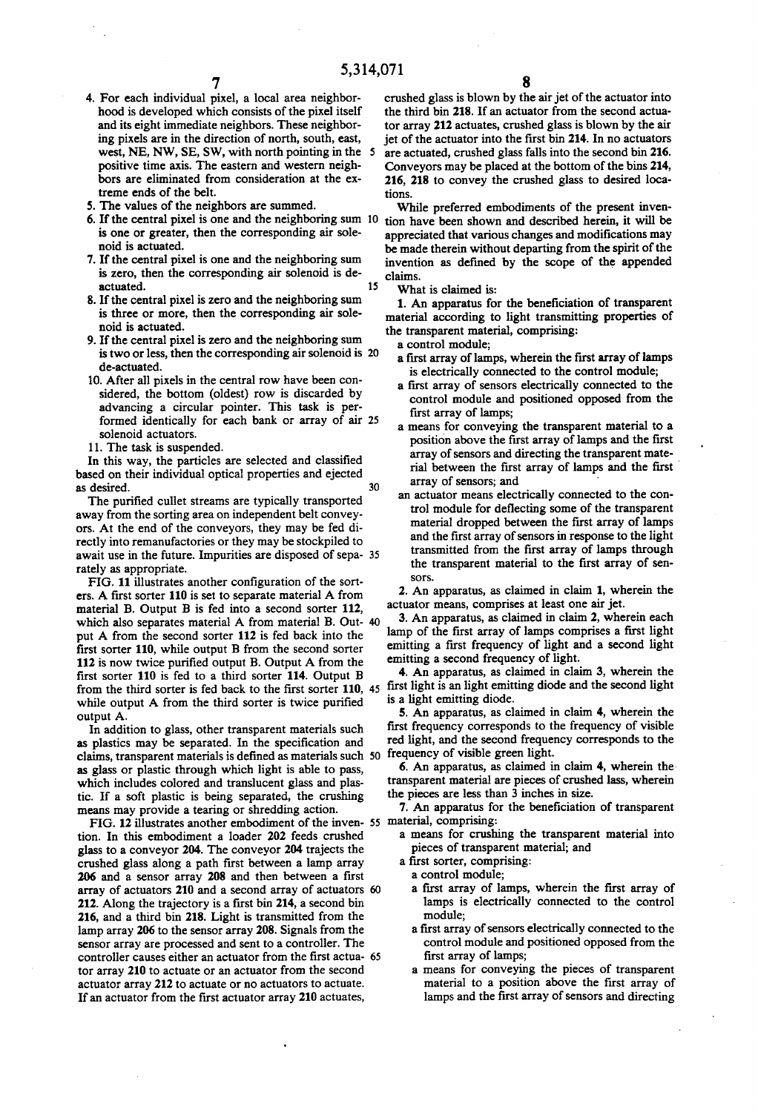15

- 5,314,071<br>4. For each individual pixel, a local area neighbor- crus hood is developed which consists of the pixel itself and its eight immediate neighbors. These neighbor ing pixels are in the direction of north, south, east, west, NE, NW, SE, SW, with north pointing in the 5 positive time axis. The eastern and western neigh bors are eliminated from consideration at the ex treme ends of the belt.
- 5. The values of the neighbors are summed.
- 6. If the central pixel is one and the neighboring sum is one or greater, then the corresponding air sole noid is actuated.
- 7. If the central pixel is one and the neighboring sum is zero, then the corresponding air solenoid is de actuated.
- 8. If the central pixel is zero and the neighboring sum is three or more, then the corresponding air sole noid is actuated.
- 9. If the central pixel is zero and the neighboring sum is two or less, then the corresponding air solenoid is 20 de-actuated.
- 10. After all pixels in the central row have been con sidered, the bottom (oldest) row is discarded by advancing a circular pointer. This task is per formed identically for each bank or array of air 25 solenoid actuators.
- 11. The task is suspended.

In this way, the particles are selected and classified based on their individual optical properties and ejected as desired. 30

The purified cullet streams are typically transported away from the sorting area on independent belt convey ors. At the end of the conveyors, they may be fed di rectly into remanufactories or they may be stockpiled to await use in the future. Impurities are disposed of sepa rately as appropriate.

FIG. 11 illustrates another configuration of the sorters. A first sorter 110 is set to separate material A from material B. Output B is fed into a second sorter 112, which also separates material A from material B. Out- 40 put A from the second sorter 112 is fed back into the first sorter 110, while output B from the second sorter 112 is now twice purified output B. Output A from the first sorter 110 is fed to a third sorter 114. Output B while output A from the third sorter is twice purified output A.

In addition to glass, other transparent materials such as plastics may be separated. In the specification and claims, transparent materials is defined as materials such 50 as glass or plastic through which light is able to pass, which includes colored and translucent glass and plas tic. If a soft plastic is being separated, the crushing means may provide a tearing or shredding action.

FIG. 12 illustrates another embodiment of the inven-55 tion. In this embodiment a loader 202 feeds crushed glass to a conveyor 204. The conveyor 204 trajects the crushed glass along a path first between a lamp array 206 and a sensor array 208 and then between a first array of actuators 210 and a second array of actuators 60 212. Along the trajectory is a first bin 214, a second bin 216, and a third bin 218. Light is transmitted from the lamp array 206 to the sensor array 208. Signals from the sensor array are processed and sent to a controller. The controller causes either an actuator from the first actua-65 tor array 210 to actuate or an actuator from the second actuator array 212 to actuate or no actuators to actuate. If an actuator from the first actuator array 210 actuates,

crushed glass is blown by the air jet of the actuator into the third bin 218. If an actuator from the second actua tor array 212 actuates, crushed glass is blown by the air jet of the actuator into the first bin 214. In no actuators are actuated, crushed glass falls into the second bin 216. Conveyors may be placed at the bottom of the bins 214, 216, 218 to convey the crushed glass to desired loca tions.

While preferred embodiments of the present inven tion have been shown and described herein, it will be appreciated that various changes and modifications may be made therein without departing from the spirit of the invention as defined by the scope of the appended claims.

What is claimed is:

1. An apparatus for the beneficiation of transparent material according to light transmitting properties of

- the transparent material, comprising:<br>
a control module;<br>
a first array of lamps, wherein the first array of lamps is electrically connected to the control module;<br>a first array of sensors electrically connected to the
	- control module and positioned opposed from the
	- first array of lamps;<br>a means for conveying the transparent material to a position above the first array of lamps and the first array of sensors and directing the transparent mate rial between the first array of lamps and the first array of sensors; and
	- an actuator means electrically connected to the con trol module for deflecting some of the transparent material dropped between the first array of lamps and the first array of sensors in response to the light transmitted from the first array of lamps through the transparent material to the first array of sensors.

2. An apparatus, as claimed in claim 1, wherein the actuator means, comprises at least one air jet.

3. An apparatus, as claimed in claim 2, wherein each lamp of the first array of lamps comprises a first light emitting a first frequency of light and a second light emitting a second frequency of light.

from the third sorter is fed back to the first sorter 110, 45 first light is an light emitting diode and the second light 4. An apparatus, as claimed in claim 3, wherein the is a light emitting diode.

5. An apparatus, as claimed in claim 4, wherein the first frequency corresponds to the frequency of visible red light, and the second frequency corresponds to the frequency of visible green light.

6. An apparatus, as claimed in claim  $4$ , wherein the transparent material are pieces of crushed lass, wherein the pieces are less than 3 inches in size.

7. An apparatus for the beneficiation of transparent

- a means for crushing the transparent material into pieces of transparent material; and a first sorter, comprising:
- 
- a control module;
- a first array of lamps, wherein the first array of lamps is electrically connected to the control
- module;<br>a first array of sensors electrically connected to the control module and positioned opposed from the first array of lamps;
- a means for conveying the pieces of transparent material to a position above the first array of lamps and the first array of sensors and directing